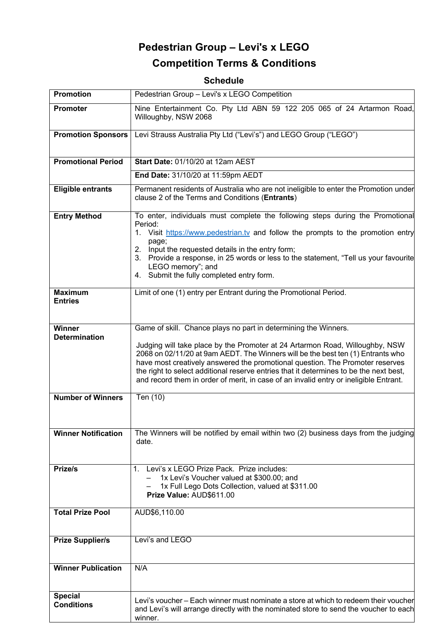# **Pedestrian Group – Levi's x LEGO Competition Terms & Conditions**

## **Schedule**

| <b>Promotion</b>                      | Pedestrian Group - Levi's x LEGO Competition                                                                                                                                                                                                                                                                                                                                                                                                                                                           |
|---------------------------------------|--------------------------------------------------------------------------------------------------------------------------------------------------------------------------------------------------------------------------------------------------------------------------------------------------------------------------------------------------------------------------------------------------------------------------------------------------------------------------------------------------------|
| <b>Promoter</b>                       | Nine Entertainment Co. Pty Ltd ABN 59 122 205 065 of 24 Artarmon Road,<br>Willoughby, NSW 2068                                                                                                                                                                                                                                                                                                                                                                                                         |
| <b>Promotion Sponsors</b>             | Levi Strauss Australia Pty Ltd ("Levi's") and LEGO Group ("LEGO")                                                                                                                                                                                                                                                                                                                                                                                                                                      |
| <b>Promotional Period</b>             | Start Date: 01/10/20 at 12am AEST                                                                                                                                                                                                                                                                                                                                                                                                                                                                      |
|                                       | End Date: 31/10/20 at 11:59pm AEDT                                                                                                                                                                                                                                                                                                                                                                                                                                                                     |
| <b>Eligible entrants</b>              | Permanent residents of Australia who are not ineligible to enter the Promotion under<br>clause 2 of the Terms and Conditions (Entrants)                                                                                                                                                                                                                                                                                                                                                                |
| <b>Entry Method</b>                   | To enter, individuals must complete the following steps during the Promotional<br>Period:<br>1. Visit https://www.pedestrian.tv and follow the prompts to the promotion entry<br>page;<br>Input the requested details in the entry form;<br>2.<br>3. Provide a response, in 25 words or less to the statement, "Tell us your favourite<br>LEGO memory"; and<br>4. Submit the fully completed entry form.                                                                                               |
| <b>Maximum</b><br><b>Entries</b>      | Limit of one (1) entry per Entrant during the Promotional Period.                                                                                                                                                                                                                                                                                                                                                                                                                                      |
| <b>Winner</b><br><b>Determination</b> | Game of skill. Chance plays no part in determining the Winners.<br>Judging will take place by the Promoter at 24 Artarmon Road, Willoughby, NSW<br>2068 on 02/11/20 at 9am AEDT. The Winners will be the best ten (1) Entrants who<br>have most creatively answered the promotional question. The Promoter reserves<br>the right to select additional reserve entries that it determines to be the next best,<br>and record them in order of merit, in case of an invalid entry or ineligible Entrant. |
| <b>Number of Winners</b>              | Ten (10)                                                                                                                                                                                                                                                                                                                                                                                                                                                                                               |
| <b>Winner Notification</b>            | The Winners will be notified by email within two (2) business days from the judging<br>date.                                                                                                                                                                                                                                                                                                                                                                                                           |
| Prize/s                               | Levi's x LEGO Prize Pack. Prize includes:<br>$1_{-}$<br>1x Levi's Voucher valued at \$300.00; and<br>1x Full Lego Dots Collection, valued at \$311.00<br>Prize Value: AUD\$611.00                                                                                                                                                                                                                                                                                                                      |
| <b>Total Prize Pool</b>               | AUD\$6,110.00                                                                                                                                                                                                                                                                                                                                                                                                                                                                                          |
| <b>Prize Supplier/s</b>               | Levi's and LEGO                                                                                                                                                                                                                                                                                                                                                                                                                                                                                        |
| <b>Winner Publication</b>             | N/A                                                                                                                                                                                                                                                                                                                                                                                                                                                                                                    |
| <b>Special</b><br><b>Conditions</b>   | Levi's voucher – Each winner must nominate a store at which to redeem their voucher<br>and Levi's will arrange directly with the nominated store to send the voucher to each<br>winner.                                                                                                                                                                                                                                                                                                                |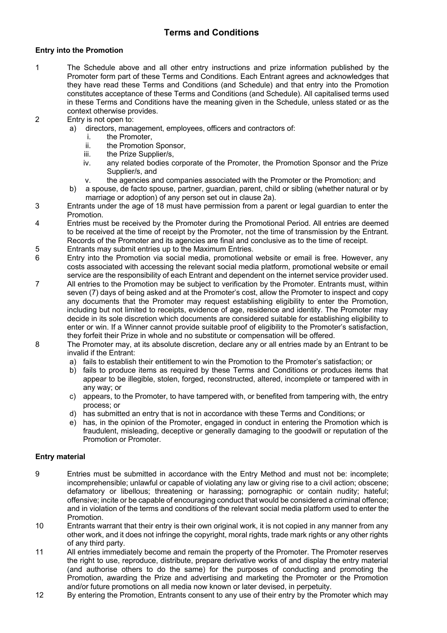### **Terms and Conditions**

#### **Entry into the Promotion**

- 1 The Schedule above and all other entry instructions and prize information published by the Promoter form part of these Terms and Conditions. Each Entrant agrees and acknowledges that they have read these Terms and Conditions (and Schedule) and that entry into the Promotion constitutes acceptance of these Terms and Conditions (and Schedule). All capitalised terms used in these Terms and Conditions have the meaning given in the Schedule, unless stated or as the context otherwise provides.
- 2 Entry is not open to:
	- a) directors, management, employees, officers and contractors of:
		- i. the Promoter,
		- ii. the Promotion Sponsor,
		- iii. the Prize Supplier/s,
		- iv. any related bodies corporate of the Promoter, the Promotion Sponsor and the Prize Supplier/s, and
		- v. the agencies and companies associated with the Promoter or the Promotion; and
	- b) a spouse, de facto spouse, partner, guardian, parent, child or sibling (whether natural or by marriage or adoption) of any person set out in clause 2a).
- 3 Entrants under the age of 18 must have permission from a parent or legal guardian to enter the Promotion.
- 4 Entries must be received by the Promoter during the Promotional Period. All entries are deemed to be received at the time of receipt by the Promoter, not the time of transmission by the Entrant. Records of the Promoter and its agencies are final and conclusive as to the time of receipt.
- 5 Entrants may submit entries up to the Maximum Entries.
- 6 Entry into the Promotion via social media, promotional website or email is free. However, any costs associated with accessing the relevant social media platform, promotional website or email service are the responsibility of each Entrant and dependent on the internet service provider used.
- 7 All entries to the Promotion may be subject to verification by the Promoter. Entrants must, within seven (7) days of being asked and at the Promoter's cost, allow the Promoter to inspect and copy any documents that the Promoter may request establishing eligibility to enter the Promotion, including but not limited to receipts, evidence of age, residence and identity. The Promoter may decide in its sole discretion which documents are considered suitable for establishing eligibility to enter or win. If a Winner cannot provide suitable proof of eligibility to the Promoter's satisfaction, they forfeit their Prize in whole and no substitute or compensation will be offered.
- 8 The Promoter may, at its absolute discretion, declare any or all entries made by an Entrant to be invalid if the Entrant:
	- a) fails to establish their entitlement to win the Promotion to the Promoter's satisfaction; or
	- b) fails to produce items as required by these Terms and Conditions or produces items that appear to be illegible, stolen, forged, reconstructed, altered, incomplete or tampered with in any way; or
	- c) appears, to the Promoter, to have tampered with, or benefited from tampering with, the entry process; or
	- d) has submitted an entry that is not in accordance with these Terms and Conditions; or
	- e) has, in the opinion of the Promoter, engaged in conduct in entering the Promotion which is fraudulent, misleading, deceptive or generally damaging to the goodwill or reputation of the Promotion or Promoter.

#### **Entry material**

- 9 Entries must be submitted in accordance with the Entry Method and must not be: incomplete; incomprehensible; unlawful or capable of violating any law or giving rise to a civil action; obscene; defamatory or libellous; threatening or harassing; pornographic or contain nudity; hateful; offensive; incite or be capable of encouraging conduct that would be considered a criminal offence; and in violation of the terms and conditions of the relevant social media platform used to enter the Promotion.
- 10 Entrants warrant that their entry is their own original work, it is not copied in any manner from any other work, and it does not infringe the copyright, moral rights, trade mark rights or any other rights of any third party.
- 11 All entries immediately become and remain the property of the Promoter. The Promoter reserves the right to use, reproduce, distribute, prepare derivative works of and display the entry material (and authorise others to do the same) for the purposes of conducting and promoting the Promotion, awarding the Prize and advertising and marketing the Promoter or the Promotion and/or future promotions on all media now known or later devised, in perpetuity.
- 12 By entering the Promotion, Entrants consent to any use of their entry by the Promoter which may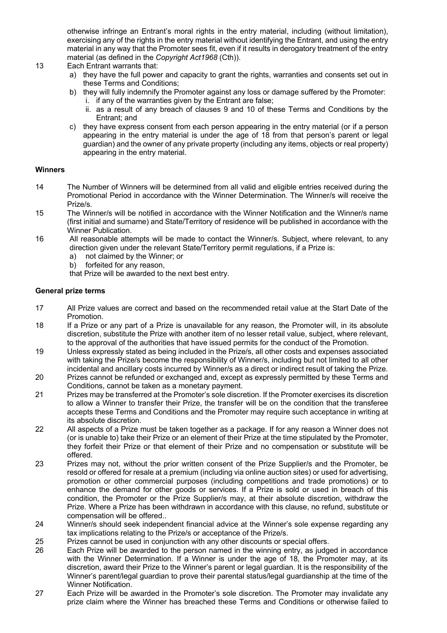otherwise infringe an Entrant's moral rights in the entry material, including (without limitation), exercising any of the rights in the entry material without identifying the Entrant, and using the entry material in any way that the Promoter sees fit, even if it results in derogatory treatment of the entry material (as defined in the *Copyright Act1968* (Cth)).

- 13 Each Entrant warrants that:
	- a) they have the full power and capacity to grant the rights, warranties and consents set out in these Terms and Conditions;
	- b) they will fully indemnify the Promoter against any loss or damage suffered by the Promoter: i. if any of the warranties given by the Entrant are false;
		- ii. as a result of any breach of clauses 9 and 10 of these Terms and Conditions by the Entrant; and
	- c) they have express consent from each person appearing in the entry material (or if a person appearing in the entry material is under the age of 18 from that person's parent or legal guardian) and the owner of any private property (including any items, objects or real property) appearing in the entry material.

#### **Winners**

- 14 The Number of Winners will be determined from all valid and eligible entries received during the Promotional Period in accordance with the Winner Determination. The Winner/s will receive the Prize/s.
- 15 The Winner/s will be notified in accordance with the Winner Notification and the Winner/s name (first initial and surname) and State/Territory of residence will be published in accordance with the Winner Publication.
- 16 All reasonable attempts will be made to contact the Winner/s. Subject, where relevant, to any direction given under the relevant State/Territory permit regulations, if a Prize is:
	- a) not claimed by the Winner; or
	- b) forfeited for any reason,
	- that Prize will be awarded to the next best entry.

#### **General prize terms**

- 17 All Prize values are correct and based on the recommended retail value at the Start Date of the Promotion.
- 18 If a Prize or any part of a Prize is unavailable for any reason, the Promoter will, in its absolute discretion, substitute the Prize with another item of no lesser retail value, subject, where relevant, to the approval of the authorities that have issued permits for the conduct of the Promotion.
- 19 Unless expressly stated as being included in the Prize/s, all other costs and expenses associated with taking the Prize/s become the responsibility of Winner/s, including but not limited to all other incidental and ancillary costs incurred by Winner/s as a direct or indirect result of taking the Prize.
- 20 Prizes cannot be refunded or exchanged and, except as expressly permitted by these Terms and Conditions, cannot be taken as a monetary payment.
- 21 Prizes may be transferred at the Promoter's sole discretion. If the Promoter exercises its discretion to allow a Winner to transfer their Prize, the transfer will be on the condition that the transferee accepts these Terms and Conditions and the Promoter may require such acceptance in writing at its absolute discretion.
- 22 All aspects of a Prize must be taken together as a package. If for any reason a Winner does not (or is unable to) take their Prize or an element of their Prize at the time stipulated by the Promoter, they forfeit their Prize or that element of their Prize and no compensation or substitute will be offered.
- 23 Prizes may not, without the prior written consent of the Prize Supplier/s and the Promoter, be resold or offered for resale at a premium (including via online auction sites) or used for advertising, promotion or other commercial purposes (including competitions and trade promotions) or to enhance the demand for other goods or services. If a Prize is sold or used in breach of this condition, the Promoter or the Prize Supplier/s may, at their absolute discretion, withdraw the Prize. Where a Prize has been withdrawn in accordance with this clause, no refund, substitute or compensation will be offered..
- 24 Winner/s should seek independent financial advice at the Winner's sole expense regarding any tax implications relating to the Prize/s or acceptance of the Prize/s.
- 25 Prizes cannot be used in conjunction with any other discounts or special offers.
- 26 Each Prize will be awarded to the person named in the winning entry, as judged in accordance with the Winner Determination. If a Winner is under the age of 18, the Promoter may, at its discretion, award their Prize to the Winner's parent or legal guardian. It is the responsibility of the Winner's parent/legal guardian to prove their parental status/legal guardianship at the time of the Winner Notification.
- 27 Each Prize will be awarded in the Promoter's sole discretion. The Promoter may invalidate any prize claim where the Winner has breached these Terms and Conditions or otherwise failed to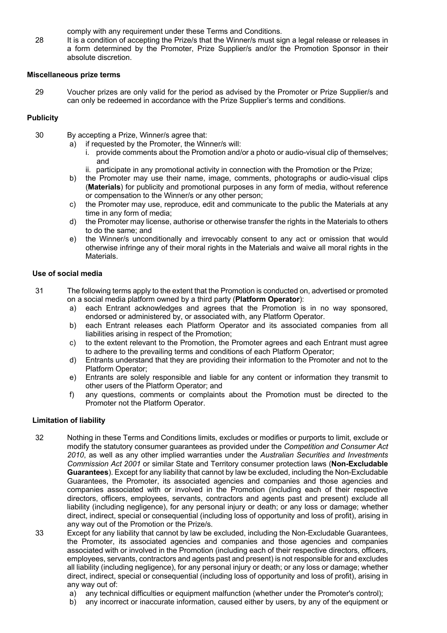comply with any requirement under these Terms and Conditions.

28 It is a condition of accepting the Prize/s that the Winner/s must sign a legal release or releases in a form determined by the Promoter, Prize Supplier/s and/or the Promotion Sponsor in their absolute discretion.

#### **Miscellaneous prize terms**

29 Voucher prizes are only valid for the period as advised by the Promoter or Prize Supplier/s and can only be redeemed in accordance with the Prize Supplier's terms and conditions.

#### **Publicity**

- 30 By accepting a Prize, Winner/s agree that:
	- a) if requested by the Promoter, the Winner/s will:
		- i. provide comments about the Promotion and/or a photo or audio-visual clip of themselves; and
		- ii. participate in any promotional activity in connection with the Promotion or the Prize;
	- b) the Promoter may use their name, image, comments, photographs or audio-visual clips (**Materials**) for publicity and promotional purposes in any form of media, without reference or compensation to the Winner/s or any other person;
	- c) the Promoter may use, reproduce, edit and communicate to the public the Materials at any time in any form of media;
	- d) the Promoter may license, authorise or otherwise transfer the rights in the Materials to others to do the same; and
	- e) the Winner/s unconditionally and irrevocably consent to any act or omission that would otherwise infringe any of their moral rights in the Materials and waive all moral rights in the Materials.

#### **Use of social media**

- 31 The following terms apply to the extent that the Promotion is conducted on, advertised or promoted on a social media platform owned by a third party (**Platform Operator**):
	- a) each Entrant acknowledges and agrees that the Promotion is in no way sponsored, endorsed or administered by, or associated with, any Platform Operator.
	- b) each Entrant releases each Platform Operator and its associated companies from all liabilities arising in respect of the Promotion;
	- c) to the extent relevant to the Promotion, the Promoter agrees and each Entrant must agree to adhere to the prevailing terms and conditions of each Platform Operator;
	- d) Entrants understand that they are providing their information to the Promoter and not to the Platform Operator;
	- e) Entrants are solely responsible and liable for any content or information they transmit to other users of the Platform Operator; and
	- f) any questions, comments or complaints about the Promotion must be directed to the Promoter not the Platform Operator.

#### **Limitation of liability**

- 32 Nothing in these Terms and Conditions limits, excludes or modifies or purports to limit, exclude or modify the statutory consumer guarantees as provided under the *Competition and Consumer Act 2010*, as well as any other implied warranties under the *Australian Securities and Investments Commission Act 2001* or similar State and Territory consumer protection laws (**Non-Excludable Guarantees**). Except for any liability that cannot by law be excluded, including the Non-Excludable Guarantees, the Promoter, its associated agencies and companies and those agencies and companies associated with or involved in the Promotion (including each of their respective directors, officers, employees, servants, contractors and agents past and present) exclude all liability (including negligence), for any personal injury or death; or any loss or damage; whether direct, indirect, special or consequential (including loss of opportunity and loss of profit), arising in any way out of the Promotion or the Prize/s.
- 33 Except for any liability that cannot by law be excluded, including the Non-Excludable Guarantees, the Promoter, its associated agencies and companies and those agencies and companies associated with or involved in the Promotion (including each of their respective directors, officers, employees, servants, contractors and agents past and present) is not responsible for and excludes all liability (including negligence), for any personal injury or death; or any loss or damage; whether direct, indirect, special or consequential (including loss of opportunity and loss of profit), arising in any way out of:
	- a) any technical difficulties or equipment malfunction (whether under the Promoter's control);
	- b) any incorrect or inaccurate information, caused either by users, by any of the equipment or